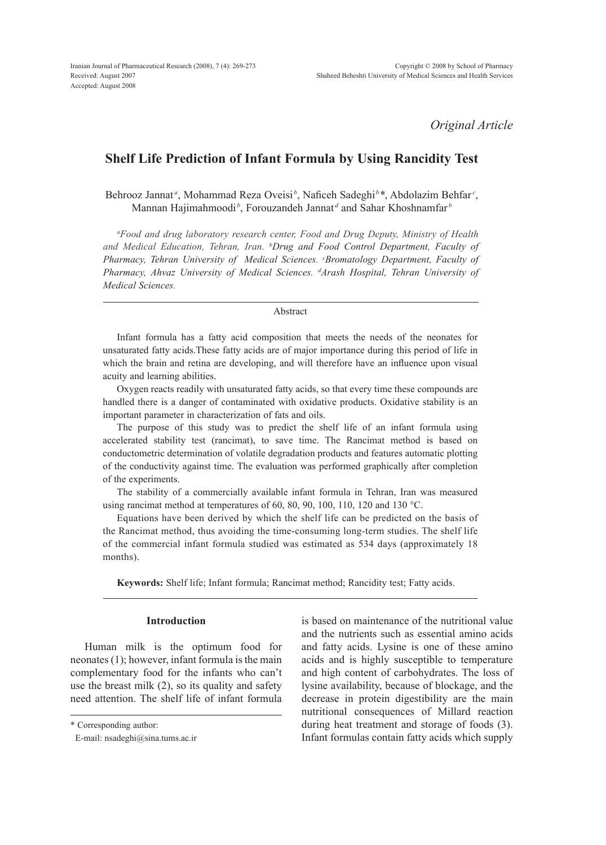*Original Article*

# **Shelf Life Prediction of Infant Formula by Using Rancidity Test**

Behrooz Jannat<sup>*a*</sup>, Mohammad Reza Oveisi<sup>*b*</sup>, Naficeh Sadeghi<sup>*b*\*</sup>, Abdolazim Behfar<sup>*c*</sup>, Mannan Hajimahmoodi<sup>*b*</sup>, Forouzandeh Jannat<sup>d</sup> and Sahar Khoshnamfar<sup>*b*</sup>

*a Food and drug laboratory research center, Food and Drug Deputy, Ministry of Health and Medical Education, Tehran, Iran. <sup>b</sup> Drug and Food Control Department, Faculty of Pharmacy, Tehran University of Medical Sciences. <sup>c</sup> Bromatology Department, Faculty of Pharmacy, Ahvaz University of Medical Sciences. d Arash Hospital, Tehran University of Medical Sciences.*

#### Abstract

Infant formula has a fatty acid composition that meets the needs of the neonates for unsaturated fatty acids.These fatty acids are of major importance during this period of life in which the brain and retina are developing, and will therefore have an influence upon visual acuity and learning abilities.

Oxygen reacts readily with unsaturated fatty acids, so that every time these compounds are handled there is a danger of contaminated with oxidative products. Oxidative stability is an important parameter in characterization of fats and oils.

The purpose of this study was to predict the shelf life of an infant formula using accelerated stability test (rancimat), to save time. The Rancimat method is based on conductometric determination of volatile degradation products and features automatic plotting of the conductivity against time. The evaluation was performed graphically after completion of the experiments.

The stability of a commercially available infant formula in Tehran, Iran was measured using rancimat method at temperatures of 60, 80, 90, 100, 110, 120 and 130 °C.

Equations have been derived by which the shelf life can be predicted on the basis of the Rancimat method, thus avoiding the time-consuming long-term studies. The shelf life of the commercial infant formula studied was estimated as 534 days (approximately 18 months).

**Keywords:** Shelf life; Infant formula; Rancimat method; Rancidity test; Fatty acids.

# **Introduction**

Human milk is the optimum food for neonates (1); however, infant formula is the main complementary food for the infants who can't use the breast milk (2), so its quality and safety need attention. The shelf life of infant formula is based on maintenance of the nutritional value and the nutrients such as essential amino acids and fatty acids. Lysine is one of these amino acids and is highly susceptible to temperature and high content of carbohydrates. The loss of lysine availability, because of blockage, and the decrease in protein digestibility are the main nutritional consequences of Millard reaction during heat treatment and storage of foods (3). Infant formulas contain fatty acids which supply

<sup>\*</sup> Corresponding author:

E-mail: nsadeghi@sina.tums.ac.ir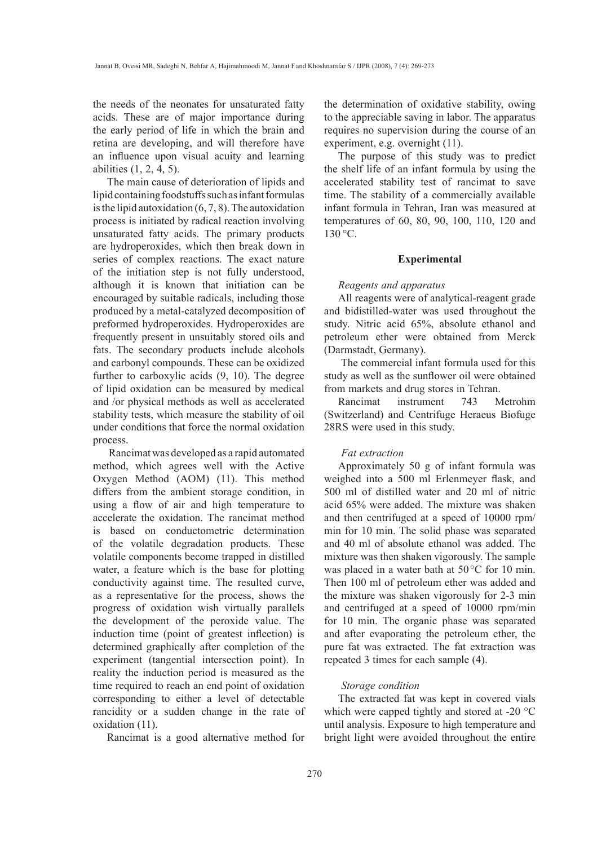the needs of the neonates for unsaturated fatty acids. These are of major importance during the early period of life in which the brain and retina are developing, and will therefore have an influence upon visual acuity and learning abilities (1, 2, 4, 5).

The main cause of deterioration of lipids and lipid containing foodstuffs such as infant formulas is the lipid autoxidation  $(6, 7, 8)$ . The autoxidation process is initiated by radical reaction involving unsaturated fatty acids. The primary products are hydroperoxides, which then break down in series of complex reactions. The exact nature of the initiation step is not fully understood, although it is known that initiation can be encouraged by suitable radicals, including those produced by a metal-catalyzed decomposition of preformed hydroperoxides. Hydroperoxides are frequently present in unsuitably stored oils and fats. The secondary products include alcohols and carbonyl compounds. These can be oxidized further to carboxylic acids (9, 10). The degree of lipid oxidation can be measured by medical and /or physical methods as well as accelerated stability tests, which measure the stability of oil under conditions that force the normal oxidation process.

 Rancimat was developed as a rapid automated method, which agrees well with the Active Oxygen Method (AOM) (11). This method differs from the ambient storage condition, in using a flow of air and high temperature to accelerate the oxidation. The rancimat method is based on conductometric determination of the volatile degradation products. These volatile components become trapped in distilled water, a feature which is the base for plotting conductivity against time. The resulted curve, as a representative for the process, shows the progress of oxidation wish virtually parallels the development of the peroxide value. The induction time (point of greatest inflection) is determined graphically after completion of the experiment (tangential intersection point). In reality the induction period is measured as the time required to reach an end point of oxidation corresponding to either a level of detectable rancidity or a sudden change in the rate of oxidation (11).

Rancimat is a good alternative method for

the determination of oxidative stability, owing to the appreciable saving in labor. The apparatus requires no supervision during the course of an experiment, e.g. overnight (11).

The purpose of this study was to predict the shelf life of an infant formula by using the accelerated stability test of rancimat to save time. The stability of a commercially available infant formula in Tehran, Iran was measured at temperatures of 60, 80, 90, 100, 110, 120 and  $130 \degree C$ .

### **Experimental**

### *Reagents and apparatus*

All reagents were of analytical-reagent grade and bidistilled-water was used throughout the study. Nitric acid 65%, absolute ethanol and petroleum ether were obtained from Merck (Darmstadt, Germany).

 The commercial infant formula used for this study as well as the sunflower oil were obtained from markets and drug stores in Tehran.

Rancimat instrument 743 Metrohm (Switzerland) and Centrifuge Heraeus Biofuge 28RS were used in this study.

# *Fat extraction*

Approximately 50 g of infant formula was weighed into a 500 ml Erlenmeyer flask, and 500 ml of distilled water and 20 ml of nitric acid 65% were added. The mixture was shaken and then centrifuged at a speed of 10000 rpm/ min for 10 min. The solid phase was separated and 40 ml of absolute ethanol was added. The mixture was then shaken vigorously. The sample was placed in a water bath at 50°C for 10 min. Then 100 ml of petroleum ether was added and the mixture was shaken vigorously for 2-3 min and centrifuged at a speed of 10000 rpm/min for 10 min. The organic phase was separated and after evaporating the petroleum ether, the pure fat was extracted. The fat extraction was repeated 3 times for each sample (4).

# *Storage condition*

The extracted fat was kept in covered vials which were capped tightly and stored at -20 °C until analysis. Exposure to high temperature and bright light were avoided throughout the entire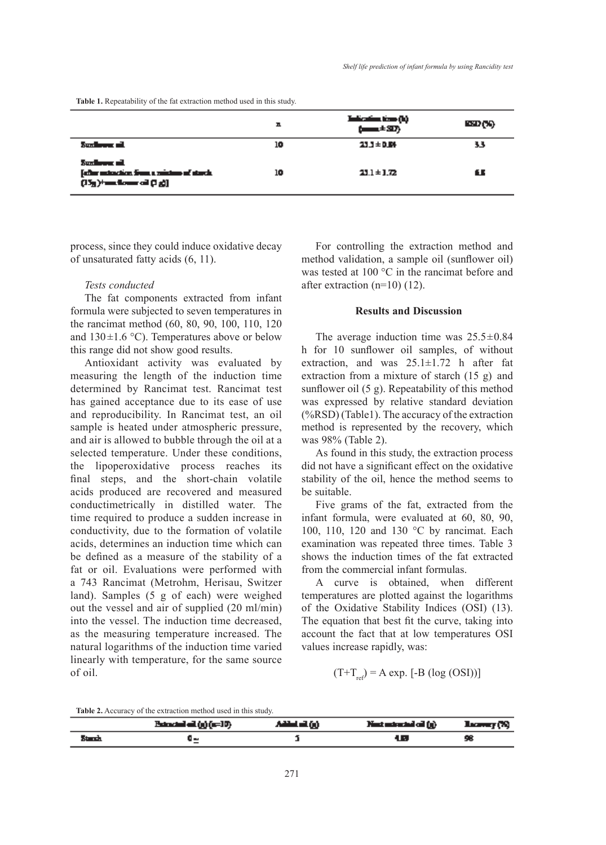**Table 1.** Repeatability of the fat extraction method used in this study.

|                                                                                                        | ᅭ  | Talianian (ng Q)<br>(1.15) | කොලා. |
|--------------------------------------------------------------------------------------------------------|----|----------------------------|-------|
| Sundayang aik                                                                                          | 10 | 23.3±D.M                   | 33    |
| <b>Synchronic all</b><br>[offer autoschien from a minimum of stands.]<br>$(150)1$ and forms of $(10)1$ | 10 | $23.1 \pm 1.72$            | £.    |

process, since they could induce oxidative decay of unsaturated fatty acids (6, 11).

# *Tests conducted*

The fat components extracted from infant formula were subjected to seven temperatures in the rancimat method (60, 80, 90, 100, 110, 120 and  $130 \pm 1.6$  °C). Temperatures above or below this range did not show good results.

Antioxidant activity was evaluated by measuring the length of the induction time determined by Rancimat test. Rancimat test has gained acceptance due to its ease of use and reproducibility. In Rancimat test, an oil sample is heated under atmospheric pressure, and air is allowed to bubble through the oil at a selected temperature. Under these conditions, the lipoperoxidative process reaches its final steps, and the short-chain volatile acids produced are recovered and measured conductimetrically in distilled water. The time required to produce a sudden increase in conductivity, due to the formation of volatile acids, determines an induction time which can be defined as a measure of the stability of a fat or oil. Evaluations were performed with a 743 Rancimat (Metrohm, Herisau, Switzer land). Samples (5 g of each) were weighed out the vessel and air of supplied (20 ml/min) into the vessel. The induction time decreased, as the measuring temperature increased. The natural logarithms of the induction time varied linearly with temperature, for the same source of oil.

For controlling the extraction method and method validation, a sample oil (sunflower oil) was tested at 100 °C in the rancimat before and after extraction (n=10) (12).

### **Results and Discussion**

The average induction time was  $25.5 \pm 0.84$ h for 10 sunflower oil samples, of without extraction, and was  $25.1 \pm 1.72$  h after fat extraction from a mixture of starch (15 g) and sunflower oil (5 g). Repeatability of this method was expressed by relative standard deviation (%RSD) (Table1). The accuracy of the extraction method is represented by the recovery, which was 98% (Table 2).

As found in this study, the extraction process did not have a significant effect on the oxidative stability of the oil, hence the method seems to be suitable.

Five grams of the fat, extracted from the infant formula, were evaluated at 60, 80, 90, 100, 110, 120 and 130 °C by rancimat. Each examination was repeated three times. Table 3 shows the induction times of the fat extracted from the commercial infant formulas.

A curve is obtained, when different temperatures are plotted against the logarithms of the Oxidative Stability Indices (OSI) (13). The equation that best fit the curve, taking into account the fact that at low temperatures OSI values increase rapidly, was:

$$
(\mathrm{T} + \mathrm{T}_{\mathrm{ref}}) = \mathrm{A} \, \exp. \, [-\mathrm{B} \, (\log \, (\mathrm{OSI}))]
$$

**Table 2.** Accuracy of the extraction method used in this study.

|         | $Beta/dm/dm$ (g) $(m=10)$ | ANH -100 | Nest estaciad al (g) — Hacevery (%) |    |
|---------|---------------------------|----------|-------------------------------------|----|
| Stands. |                           |          | ŁП                                  | 98 |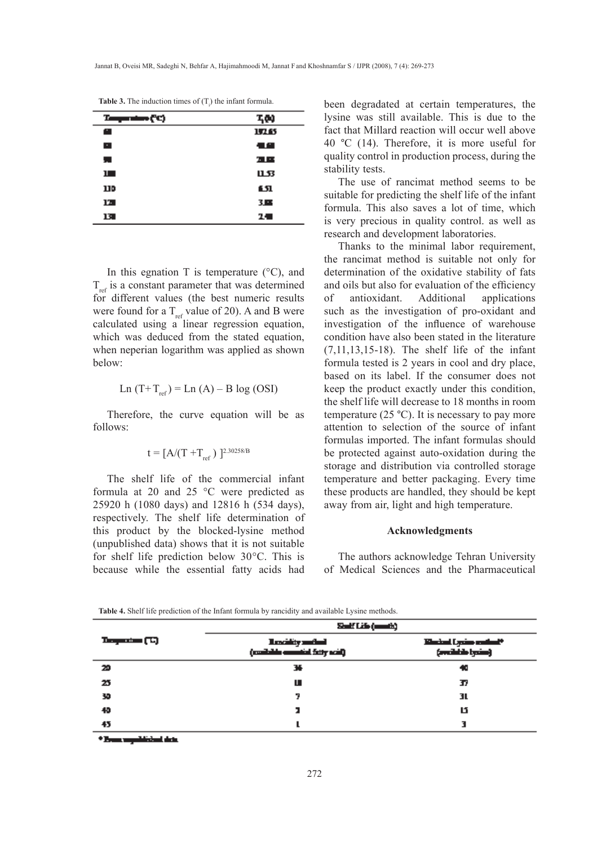| т<br>mine (C) | ፕፅ   |
|---------------|------|
| œ             | 1713 |
| E.            | 信仰   |
| 是             | a pr |
| Ш             | பக   |
| IJD           | 151  |
| 17.           | 3.86 |
| 13            | 24   |

**Table 3.** The induction times of  $(T_i)$  the infant formula.

In this egnation T is temperature  $(^{\circ}C)$ , and  $T_{ref}$  is a constant parameter that was determined for different values (the best numeric results were found for a  $T_{ref}$  value of 20). A and B were calculated using a linear regression equation, which was deduced from the stated equation, when neperian logarithm was applied as shown below:

$$
Ln (T+T_{ref}) = Ln (A) – B log (OSI)
$$

Therefore, the curve equation will be as follows:

$$
t=[A/(T+T_{\rm ref}\,)\,\,]^{2.30258/B}
$$

The shelf life of the commercial infant formula at 20 and 25 °C were predicted as 25920 h (1080 days) and 12816 h (534 days), respectively. The shelf life determination of this product by the blocked-lysine method (unpublished data) shows that it is not suitable for shelf life prediction below 30°C. This is because while the essential fatty acids had been degradated at certain temperatures, the lysine was still available. This is due to the fact that Millard reaction will occur well above 40 °C (14). Therefore, it is more useful for quality control in production process, during the stability tests.

The use of rancimat method seems to be suitable for predicting the shelf life of the infant formula. This also saves a lot of time, which is very precious in quality control. as well as research and development laboratories.

Thanks to the minimal labor requirement, the rancimat method is suitable not only for determination of the oxidative stability of fats and oils but also for evaluation of the efficiency of antioxidant. Additional applications such as the investigation of pro-oxidant and investigation of the influence of warehouse condition have also been stated in the literature (7,11,13,15-18). The shelf life of the infant formula tested is 2 years in cool and dry place, based on its label. If the consumer does not keep the product exactly under this condition, the shelf life will decrease to 18 months in room temperature  $(25 \text{ °C})$ . It is necessary to pay more attention to selection of the source of infant formulas imported. The infant formulas should be protected against auto-oxidation during the storage and distribution via controlled storage temperature and better packaging. Every time these products are handled, they should be kept away from air, light and high temperature.

# **Acknowledgments**

The authors acknowledge Tehran University of Medical Sciences and the Pharmaceutical

**Table 4.** Shelf life prediction of the Infant formula by rancidity and available Lysine methods.

|                | Salf Life (annib)                              |                                                         |  |
|----------------|------------------------------------------------|---------------------------------------------------------|--|
| Traganica (Ti) | Incity adal<br>(confident consider fitty scal) | Kimbal Lysins collect <sup>s</sup><br>(multiple byzint) |  |
| 20             | 34                                             | 40                                                      |  |
| 25             | ш                                              | Ŧ                                                       |  |
| 30             | 7                                              | 31.                                                     |  |
| 40             |                                                | ឋ                                                       |  |
| 45             |                                                |                                                         |  |

n meddisinel det